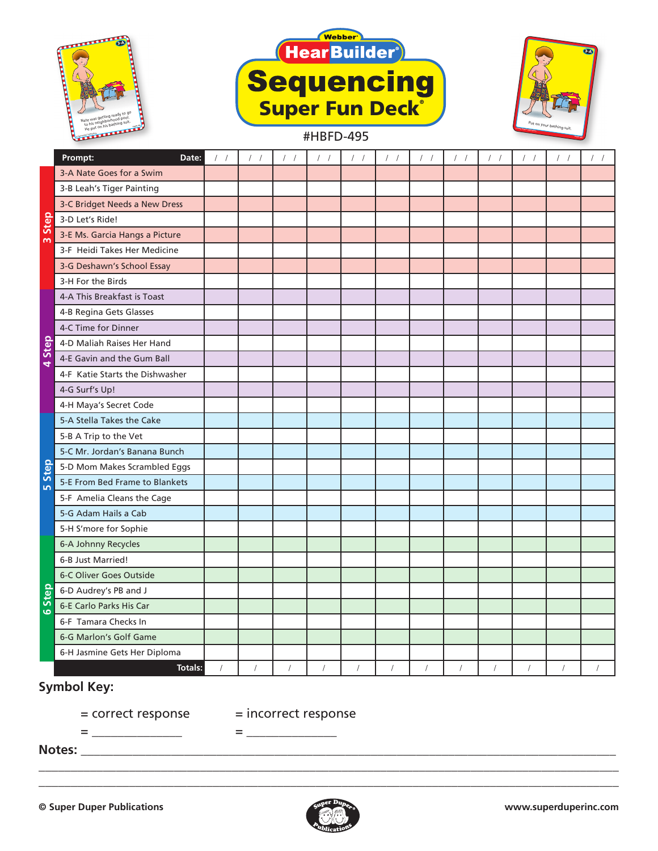





## **Prompt: Date:** / / / / / / / / / / / / / / / / / / / / / / / / 3-A Nate Goes for a Swim 3-B Leah's Tiger Painting 3-C Bridget Needs a New Dress 3-D Let's Ride! 3-E Ms. Garcia Hangs a Picture 3-F Heidi Takes Her Medicine 3-G Deshawn's School Essay 3-H For the Birds 4-A This Breakfast is Toast 4-B Regina Gets Glasses 4-C Time for Dinner 4-D Maliah Raises Her Hand 4-E Gavin and the Gum Ball 4-F Katie Starts the Dishwasher 4-G Surf's Up! 4-H Maya's Secret Code 5-A Stella Takes the Cake 5-B A Trip to the Vet 5-C Mr. Jordan's Banana Bunch 5-D Mom Makes Scrambled Eggs 5-E From Bed Frame to Blankets 5-F Amelia Cleans the Cage 5-G Adam Hails a Cab 5-H S'more for Sophie 6-A Johnny Recycles 6-B Just Married! 6-C Oliver Goes Outside 6-D Audrey's PB and J 6-E Carlo Parks His Car 6-F Tamara Checks In 6-G Marlon's Golf Game 6-H Jasmine Gets Her Diploma **Totals:** / / / / / / / / / / / / **3 Step 4 Step 5 Step 6 Step**

## **Symbol Key:**

= correct response = incorrect response

 $=\begin{bmatrix} \frac{1}{2} & \frac{1}{2} & \frac{1}{2} & \frac{1}{2} & \frac{1}{2} & \frac{1}{2} & \frac{1}{2} & \frac{1}{2} & \frac{1}{2} & \frac{1}{2} & \frac{1}{2} & \frac{1}{2} & \frac{1}{2} & \frac{1}{2} & \frac{1}{2} & \frac{1}{2} & \frac{1}{2} & \frac{1}{2} & \frac{1}{2} & \frac{1}{2} & \frac{1}{2} & \frac{1}{2} & \frac{1}{2} & \frac{1}{2} & \frac{1}{2} & \frac{1}{2} & \frac{1}{2$ 

**Notes:** \_\_\_\_\_\_\_\_\_\_\_\_\_\_\_\_\_\_\_\_\_\_\_\_\_\_\_\_\_\_\_\_\_\_\_\_\_\_\_\_\_\_\_\_\_\_\_\_\_\_\_\_\_\_\_\_\_\_\_\_\_\_\_\_\_\_\_\_\_\_\_\_\_\_\_\_\_\_\_\_\_\_\_



\_\_\_\_\_\_\_\_\_\_\_\_\_\_\_\_\_\_\_\_\_\_\_\_\_\_\_\_\_\_\_\_\_\_\_\_\_\_\_\_\_\_\_\_\_\_\_\_\_\_\_\_\_\_\_\_\_\_\_\_\_\_\_\_\_\_\_\_\_\_\_\_\_\_\_\_\_\_\_\_\_\_\_\_\_\_\_\_\_\_ \_\_\_\_\_\_\_\_\_\_\_\_\_\_\_\_\_\_\_\_\_\_\_\_\_\_\_\_\_\_\_\_\_\_\_\_\_\_\_\_\_\_\_\_\_\_\_\_\_\_\_\_\_\_\_\_\_\_\_\_\_\_\_\_\_\_\_\_\_\_\_\_\_\_\_\_\_\_\_\_\_\_\_\_\_\_\_\_\_\_